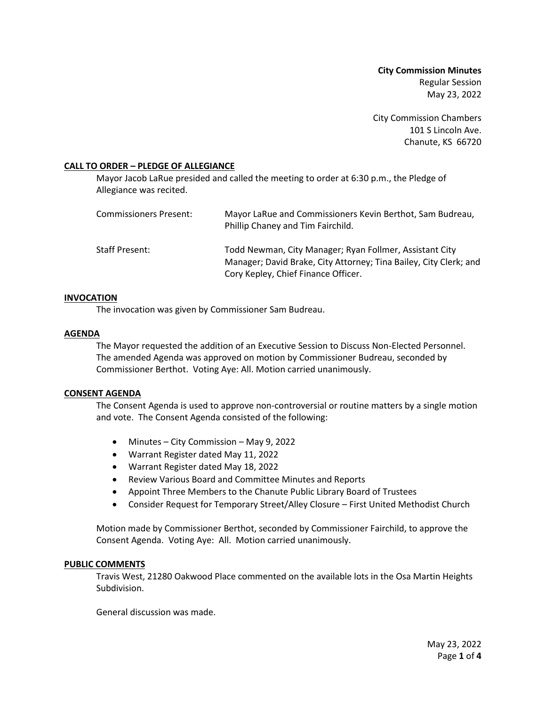**City Commission Minutes** Regular Session May 23, 2022

City Commission Chambers 101 S Lincoln Ave. Chanute, KS 66720

## **CALL TO ORDER – PLEDGE OF ALLEGIANCE**

Mayor Jacob LaRue presided and called the meeting to order at 6:30 p.m., the Pledge of Allegiance was recited.

| Commissioners Present: | Mayor LaRue and Commissioners Kevin Berthot, Sam Budreau,<br>Phillip Chaney and Tim Fairchild.                                                                      |
|------------------------|---------------------------------------------------------------------------------------------------------------------------------------------------------------------|
| Staff Present:         | Todd Newman, City Manager; Ryan Follmer, Assistant City<br>Manager; David Brake, City Attorney; Tina Bailey, City Clerk; and<br>Cory Kepley, Chief Finance Officer. |

## **INVOCATION**

The invocation was given by Commissioner Sam Budreau.

## **AGENDA**

The Mayor requested the addition of an Executive Session to Discuss Non-Elected Personnel. The amended Agenda was approved on motion by Commissioner Budreau, seconded by Commissioner Berthot. Voting Aye: All. Motion carried unanimously.

### **CONSENT AGENDA**

The Consent Agenda is used to approve non-controversial or routine matters by a single motion and vote. The Consent Agenda consisted of the following:

- Minutes City Commission May 9, 2022
- Warrant Register dated May 11, 2022
- Warrant Register dated May 18, 2022
- Review Various Board and Committee Minutes and Reports
- Appoint Three Members to the Chanute Public Library Board of Trustees
- Consider Request for Temporary Street/Alley Closure First United Methodist Church

Motion made by Commissioner Berthot, seconded by Commissioner Fairchild, to approve the Consent Agenda. Voting Aye: All. Motion carried unanimously.

### **PUBLIC COMMENTS**

Travis West, 21280 Oakwood Place commented on the available lots in the Osa Martin Heights Subdivision.

General discussion was made.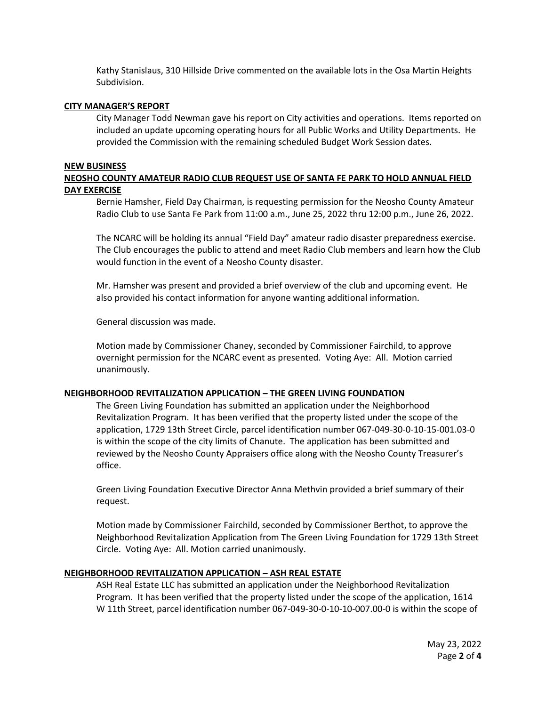Kathy Stanislaus, 310 Hillside Drive commented on the available lots in the Osa Martin Heights Subdivision.

### **CITY MANAGER'S REPORT**

City Manager Todd Newman gave his report on City activities and operations. Items reported on included an update upcoming operating hours for all Public Works and Utility Departments. He provided the Commission with the remaining scheduled Budget Work Session dates.

### **NEW BUSINESS**

# **NEOSHO COUNTY AMATEUR RADIO CLUB REQUEST USE OF SANTA FE PARK TO HOLD ANNUAL FIELD DAY EXERCISE**

Bernie Hamsher, Field Day Chairman, is requesting permission for the Neosho County Amateur Radio Club to use Santa Fe Park from 11:00 a.m., June 25, 2022 thru 12:00 p.m., June 26, 2022.

The NCARC will be holding its annual "Field Day" amateur radio disaster preparedness exercise. The Club encourages the public to attend and meet Radio Club members and learn how the Club would function in the event of a Neosho County disaster.

Mr. Hamsher was present and provided a brief overview of the club and upcoming event. He also provided his contact information for anyone wanting additional information.

General discussion was made.

Motion made by Commissioner Chaney, seconded by Commissioner Fairchild, to approve overnight permission for the NCARC event as presented. Voting Aye: All. Motion carried unanimously.

### **NEIGHBORHOOD REVITALIZATION APPLICATION – THE GREEN LIVING FOUNDATION**

The Green Living Foundation has submitted an application under the Neighborhood Revitalization Program. It has been verified that the property listed under the scope of the application, 1729 13th Street Circle, parcel identification number 067-049-30-0-10-15-001.03-0 is within the scope of the city limits of Chanute. The application has been submitted and reviewed by the Neosho County Appraisers office along with the Neosho County Treasurer's office.

Green Living Foundation Executive Director Anna Methvin provided a brief summary of their request.

Motion made by Commissioner Fairchild, seconded by Commissioner Berthot, to approve the Neighborhood Revitalization Application from The Green Living Foundation for 1729 13th Street Circle. Voting Aye: All. Motion carried unanimously.

## **NEIGHBORHOOD REVITALIZATION APPLICATION – ASH REAL ESTATE**

ASH Real Estate LLC has submitted an application under the Neighborhood Revitalization Program. It has been verified that the property listed under the scope of the application, 1614 W 11th Street, parcel identification number 067-049-30-0-10-10-007.00-0 is within the scope of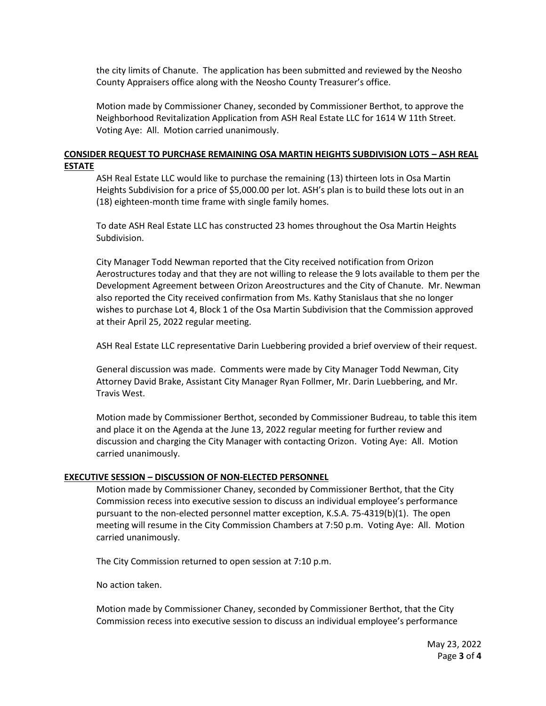the city limits of Chanute. The application has been submitted and reviewed by the Neosho County Appraisers office along with the Neosho County Treasurer's office.

Motion made by Commissioner Chaney, seconded by Commissioner Berthot, to approve the Neighborhood Revitalization Application from ASH Real Estate LLC for 1614 W 11th Street. Voting Aye: All. Motion carried unanimously.

## **CONSIDER REQUEST TO PURCHASE REMAINING OSA MARTIN HEIGHTS SUBDIVISION LOTS – ASH REAL ESTATE**

ASH Real Estate LLC would like to purchase the remaining (13) thirteen lots in Osa Martin Heights Subdivision for a price of \$5,000.00 per lot. ASH's plan is to build these lots out in an (18) eighteen-month time frame with single family homes.

To date ASH Real Estate LLC has constructed 23 homes throughout the Osa Martin Heights Subdivision.

City Manager Todd Newman reported that the City received notification from Orizon Aerostructures today and that they are not willing to release the 9 lots available to them per the Development Agreement between Orizon Areostructures and the City of Chanute. Mr. Newman also reported the City received confirmation from Ms. Kathy Stanislaus that she no longer wishes to purchase Lot 4, Block 1 of the Osa Martin Subdivision that the Commission approved at their April 25, 2022 regular meeting.

ASH Real Estate LLC representative Darin Luebbering provided a brief overview of their request.

General discussion was made. Comments were made by City Manager Todd Newman, City Attorney David Brake, Assistant City Manager Ryan Follmer, Mr. Darin Luebbering, and Mr. Travis West.

Motion made by Commissioner Berthot, seconded by Commissioner Budreau, to table this item and place it on the Agenda at the June 13, 2022 regular meeting for further review and discussion and charging the City Manager with contacting Orizon. Voting Aye: All. Motion carried unanimously.

### **EXECUTIVE SESSION – DISCUSSION OF NON-ELECTED PERSONNEL**

Motion made by Commissioner Chaney, seconded by Commissioner Berthot, that the City Commission recess into executive session to discuss an individual employee's performance pursuant to the non-elected personnel matter exception, K.S.A. 75-4319(b)(1). The open meeting will resume in the City Commission Chambers at 7:50 p.m. Voting Aye: All. Motion carried unanimously.

The City Commission returned to open session at 7:10 p.m.

No action taken.

Motion made by Commissioner Chaney, seconded by Commissioner Berthot, that the City Commission recess into executive session to discuss an individual employee's performance